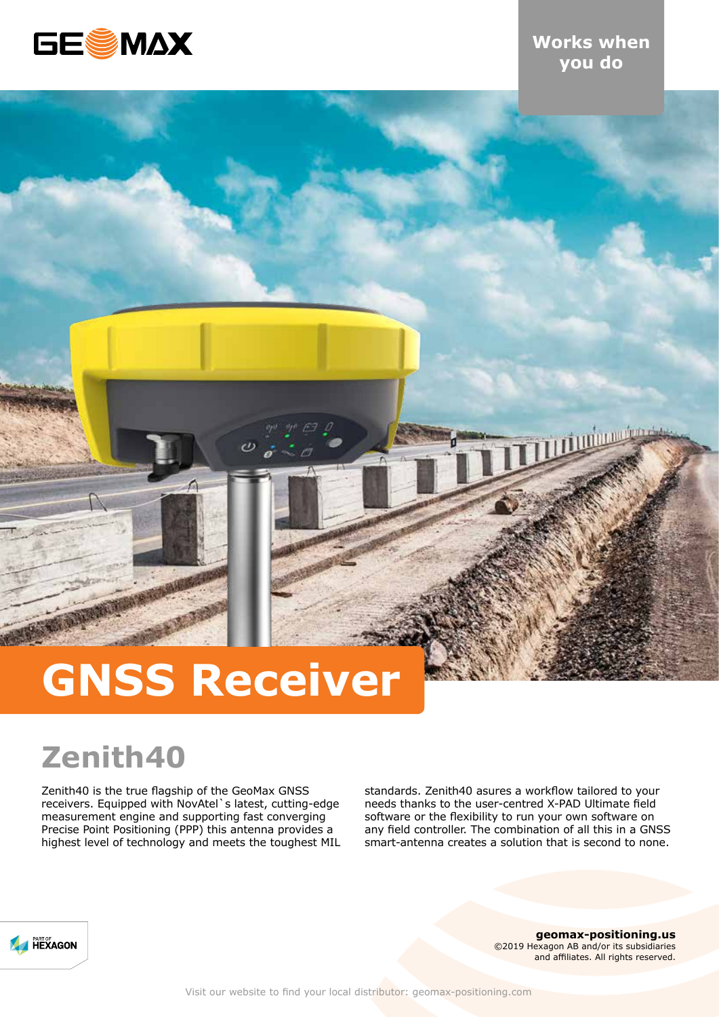

# **Works when you do**

**THE MANUFACTURER** 

# **GNSS Receiver**

# **Zenith40**

Zenith40 is the true flagship of the GeoMax GNSS receivers. Equipped with NovAtel`s latest, cutting-edge measurement engine and supporting fast converging Precise Point Positioning (PPP) this antenna provides a highest level of technology and meets the toughest MIL standards. Zenith40 asures a workflow tailored to your needs thanks to the user-centred X-PAD Ultimate field software or the flexibility to run your own software on any field controller. The combination of all this in a GNSS smart-antenna creates a solution that is second to none.



**geomax-positioning.us** ©2019 Hexagon AB and/or its subsidiaries and affiliates. All rights reserved.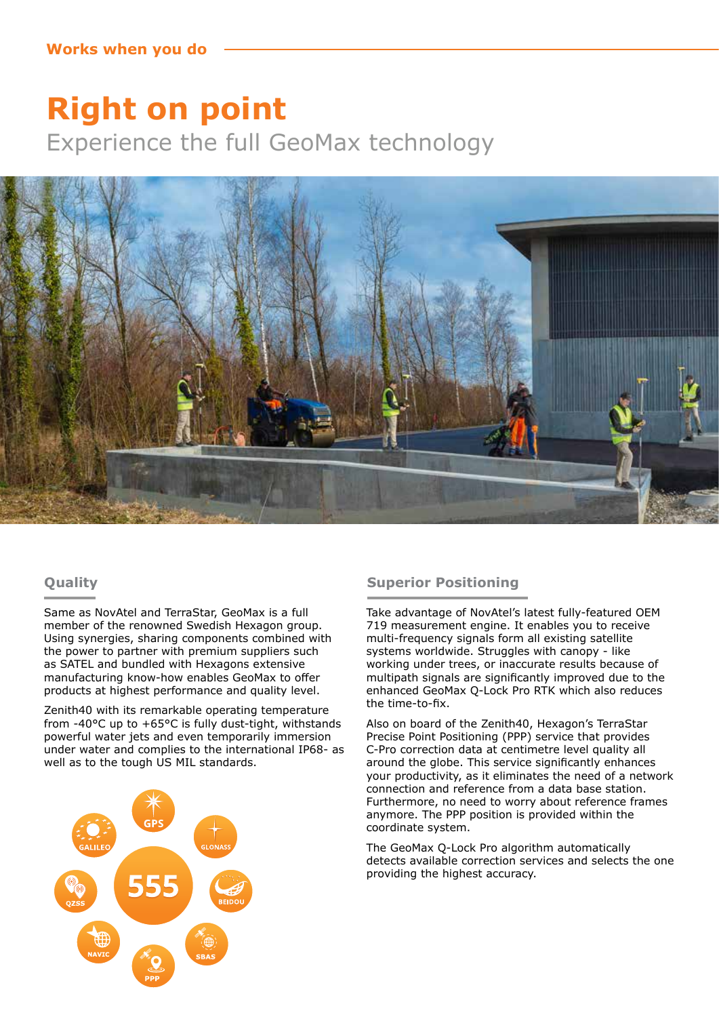# **Right on point** Experience the full GeoMax technology



## **Quality**

Same as NovAtel and TerraStar, GeoMax is a full member of the renowned Swedish Hexagon group. Using synergies, sharing components combined with the power to partner with premium suppliers such as SATEL and bundled with Hexagons extensive manufacturing know-how enables GeoMax to offer products at highest performance and quality level.

Zenith40 with its remarkable operating temperature from -40°C up to +65°C is fully dust-tight, withstands powerful water jets and even temporarily immersion under water and complies to the international IP68- as well as to the tough US MIL standards.



### **Superior Positioning**

Take advantage of NovAtel's latest fully-featured OEM 719 measurement engine. It enables you to receive multi-frequency signals form all existing satellite systems worldwide. Struggles with canopy - like working under trees, or inaccurate results because of multipath signals are significantly improved due to the enhanced GeoMax Q-Lock Pro RTK which also reduces the time-to-fix.

Also on board of the Zenith40, Hexagon's TerraStar Precise Point Positioning (PPP) service that provides C-Pro correction data at centimetre level quality all around the globe. This service significantly enhances your productivity, as it eliminates the need of a network connection and reference from a data base station. Furthermore, no need to worry about reference frames anymore. The PPP position is provided within the coordinate system.

The GeoMax Q-Lock Pro algorithm automatically detects available correction services and selects the one providing the highest accuracy.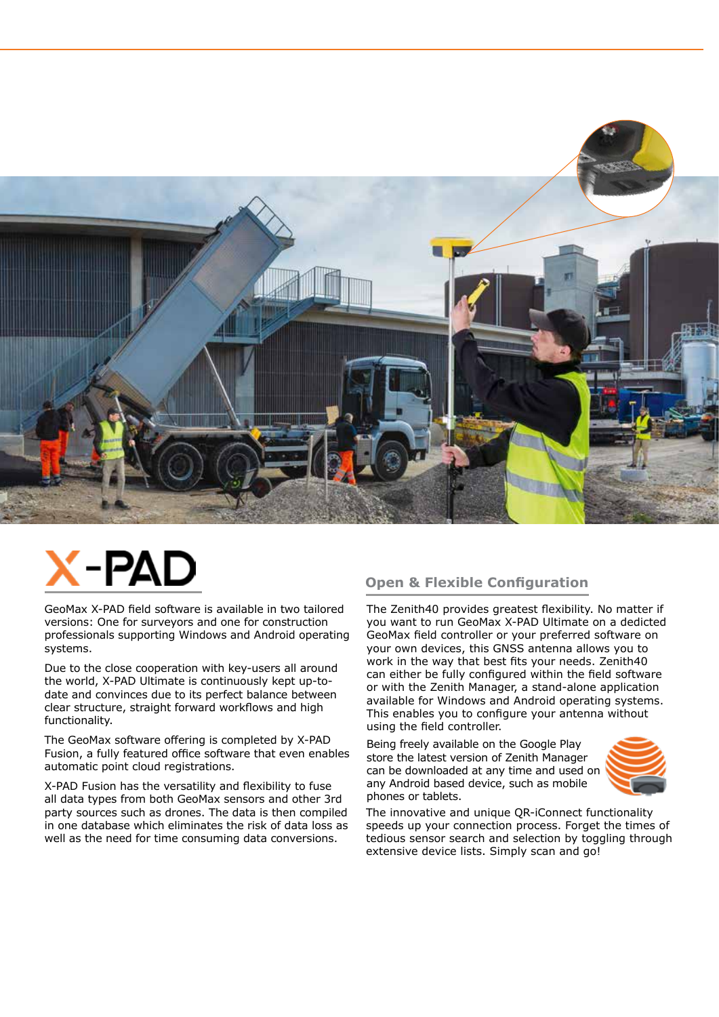

# -PA

GeoMax X-PAD field software is available in two tailored versions: One for surveyors and one for construction professionals supporting Windows and Android operating systems.

Due to the close cooperation with key-users all around the world, X-PAD Ultimate is continuously kept up-todate and convinces due to its perfect balance between clear structure, straight forward workflows and high functionality.

The GeoMax software offering is completed by X-PAD Fusion, a fully featured office software that even enables automatic point cloud registrations.

X-PAD Fusion has the versatility and flexibility to fuse all data types from both GeoMax sensors and other 3rd party sources such as drones. The data is then compiled in one database which eliminates the risk of data loss as well as the need for time consuming data conversions.

## **Open & Flexible Configuration**

The Zenith40 provides greatest flexibility. No matter if you want to run GeoMax X-PAD Ultimate on a dedicted GeoMax field controller or your preferred software on your own devices, this GNSS antenna allows you to work in the way that best fits your needs. Zenith40 can either be fully configured within the field software or with the Zenith Manager, a stand-alone application available for Windows and Android operating systems. This enables you to configure your antenna without using the field controller.

Being freely available on the Google Play store the latest version of Zenith Manager can be downloaded at any time and used on any Android based device, such as mobile phones or tablets.



The innovative and unique QR-iConnect functionality speeds up your connection process. Forget the times of tedious sensor search and selection by toggling through extensive device lists. Simply scan and go!